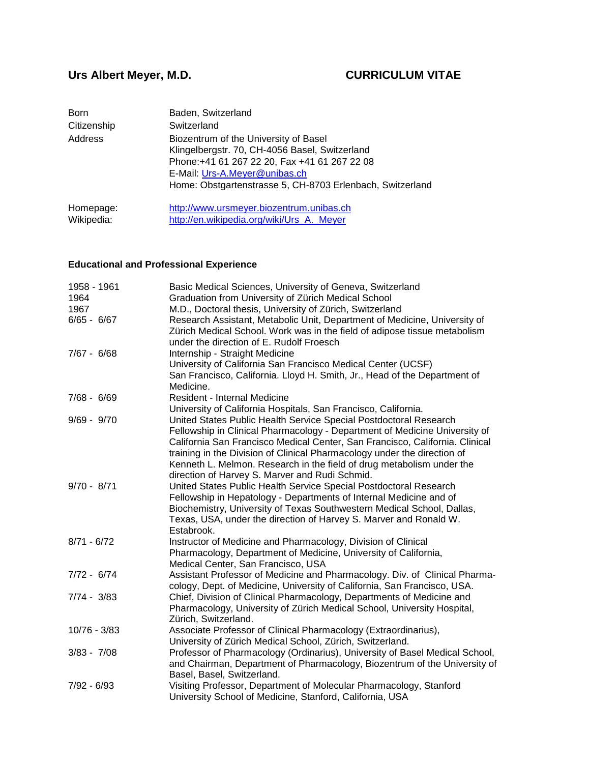# **Urs Albert Meyer, M.D. CURRICULUM VITAE**

| Born        | Baden, Switzerland                                                                                                                                                        |
|-------------|---------------------------------------------------------------------------------------------------------------------------------------------------------------------------|
| Citizenship | Switzerland                                                                                                                                                               |
| Address     | Biozentrum of the University of Basel<br>Klingelbergstr. 70, CH-4056 Basel, Switzerland<br>Phone: +41 61 267 22 20, Fax +41 61 267 22 08<br>E-Mail: Urs-A.Meyer@unibas.ch |
|             | Home: Obstgartenstrasse 5, CH-8703 Erlenbach, Switzerland                                                                                                                 |
| Homepage:   | http://www.ursmeyer.biozentrum.unibas.ch                                                                                                                                  |
| Wikipedia:  | http://en.wikipedia.org/wiki/Urs_A._Meyer                                                                                                                                 |

# **Educational and Professional Experience**

| 1958 - 1961                                                                                                          | Basic Medical Sciences, University of Geneva, Switzerland                                                                                                                                                                                                                                                                                                                                                                                                                                                                                                                                                                                                                                                                                                                                                                                                                                                                                                                                                                                                                                                                                                                                                                                                                                                                                                                                                                                                                                                                                                                                                                                                                                                                                                                                                                                                                 |
|----------------------------------------------------------------------------------------------------------------------|---------------------------------------------------------------------------------------------------------------------------------------------------------------------------------------------------------------------------------------------------------------------------------------------------------------------------------------------------------------------------------------------------------------------------------------------------------------------------------------------------------------------------------------------------------------------------------------------------------------------------------------------------------------------------------------------------------------------------------------------------------------------------------------------------------------------------------------------------------------------------------------------------------------------------------------------------------------------------------------------------------------------------------------------------------------------------------------------------------------------------------------------------------------------------------------------------------------------------------------------------------------------------------------------------------------------------------------------------------------------------------------------------------------------------------------------------------------------------------------------------------------------------------------------------------------------------------------------------------------------------------------------------------------------------------------------------------------------------------------------------------------------------------------------------------------------------------------------------------------------------|
| 1964                                                                                                                 | Graduation from University of Zürich Medical School                                                                                                                                                                                                                                                                                                                                                                                                                                                                                                                                                                                                                                                                                                                                                                                                                                                                                                                                                                                                                                                                                                                                                                                                                                                                                                                                                                                                                                                                                                                                                                                                                                                                                                                                                                                                                       |
| 1967                                                                                                                 | M.D., Doctoral thesis, University of Zürich, Switzerland                                                                                                                                                                                                                                                                                                                                                                                                                                                                                                                                                                                                                                                                                                                                                                                                                                                                                                                                                                                                                                                                                                                                                                                                                                                                                                                                                                                                                                                                                                                                                                                                                                                                                                                                                                                                                  |
| $6/65 - 6/67$                                                                                                        | Research Assistant, Metabolic Unit, Department of Medicine, University of                                                                                                                                                                                                                                                                                                                                                                                                                                                                                                                                                                                                                                                                                                                                                                                                                                                                                                                                                                                                                                                                                                                                                                                                                                                                                                                                                                                                                                                                                                                                                                                                                                                                                                                                                                                                 |
|                                                                                                                      | Zürich Medical School. Work was in the field of adipose tissue metabolism                                                                                                                                                                                                                                                                                                                                                                                                                                                                                                                                                                                                                                                                                                                                                                                                                                                                                                                                                                                                                                                                                                                                                                                                                                                                                                                                                                                                                                                                                                                                                                                                                                                                                                                                                                                                 |
|                                                                                                                      | under the direction of E. Rudolf Froesch                                                                                                                                                                                                                                                                                                                                                                                                                                                                                                                                                                                                                                                                                                                                                                                                                                                                                                                                                                                                                                                                                                                                                                                                                                                                                                                                                                                                                                                                                                                                                                                                                                                                                                                                                                                                                                  |
| $7/67 - 6/68$                                                                                                        | Internship - Straight Medicine                                                                                                                                                                                                                                                                                                                                                                                                                                                                                                                                                                                                                                                                                                                                                                                                                                                                                                                                                                                                                                                                                                                                                                                                                                                                                                                                                                                                                                                                                                                                                                                                                                                                                                                                                                                                                                            |
|                                                                                                                      | University of California San Francisco Medical Center (UCSF)                                                                                                                                                                                                                                                                                                                                                                                                                                                                                                                                                                                                                                                                                                                                                                                                                                                                                                                                                                                                                                                                                                                                                                                                                                                                                                                                                                                                                                                                                                                                                                                                                                                                                                                                                                                                              |
|                                                                                                                      |                                                                                                                                                                                                                                                                                                                                                                                                                                                                                                                                                                                                                                                                                                                                                                                                                                                                                                                                                                                                                                                                                                                                                                                                                                                                                                                                                                                                                                                                                                                                                                                                                                                                                                                                                                                                                                                                           |
|                                                                                                                      | Medicine.                                                                                                                                                                                                                                                                                                                                                                                                                                                                                                                                                                                                                                                                                                                                                                                                                                                                                                                                                                                                                                                                                                                                                                                                                                                                                                                                                                                                                                                                                                                                                                                                                                                                                                                                                                                                                                                                 |
| $7/68 - 6/69$                                                                                                        | Resident - Internal Medicine                                                                                                                                                                                                                                                                                                                                                                                                                                                                                                                                                                                                                                                                                                                                                                                                                                                                                                                                                                                                                                                                                                                                                                                                                                                                                                                                                                                                                                                                                                                                                                                                                                                                                                                                                                                                                                              |
|                                                                                                                      |                                                                                                                                                                                                                                                                                                                                                                                                                                                                                                                                                                                                                                                                                                                                                                                                                                                                                                                                                                                                                                                                                                                                                                                                                                                                                                                                                                                                                                                                                                                                                                                                                                                                                                                                                                                                                                                                           |
| $9/69 - 9/70$                                                                                                        |                                                                                                                                                                                                                                                                                                                                                                                                                                                                                                                                                                                                                                                                                                                                                                                                                                                                                                                                                                                                                                                                                                                                                                                                                                                                                                                                                                                                                                                                                                                                                                                                                                                                                                                                                                                                                                                                           |
|                                                                                                                      |                                                                                                                                                                                                                                                                                                                                                                                                                                                                                                                                                                                                                                                                                                                                                                                                                                                                                                                                                                                                                                                                                                                                                                                                                                                                                                                                                                                                                                                                                                                                                                                                                                                                                                                                                                                                                                                                           |
|                                                                                                                      |                                                                                                                                                                                                                                                                                                                                                                                                                                                                                                                                                                                                                                                                                                                                                                                                                                                                                                                                                                                                                                                                                                                                                                                                                                                                                                                                                                                                                                                                                                                                                                                                                                                                                                                                                                                                                                                                           |
|                                                                                                                      |                                                                                                                                                                                                                                                                                                                                                                                                                                                                                                                                                                                                                                                                                                                                                                                                                                                                                                                                                                                                                                                                                                                                                                                                                                                                                                                                                                                                                                                                                                                                                                                                                                                                                                                                                                                                                                                                           |
|                                                                                                                      |                                                                                                                                                                                                                                                                                                                                                                                                                                                                                                                                                                                                                                                                                                                                                                                                                                                                                                                                                                                                                                                                                                                                                                                                                                                                                                                                                                                                                                                                                                                                                                                                                                                                                                                                                                                                                                                                           |
|                                                                                                                      |                                                                                                                                                                                                                                                                                                                                                                                                                                                                                                                                                                                                                                                                                                                                                                                                                                                                                                                                                                                                                                                                                                                                                                                                                                                                                                                                                                                                                                                                                                                                                                                                                                                                                                                                                                                                                                                                           |
|                                                                                                                      |                                                                                                                                                                                                                                                                                                                                                                                                                                                                                                                                                                                                                                                                                                                                                                                                                                                                                                                                                                                                                                                                                                                                                                                                                                                                                                                                                                                                                                                                                                                                                                                                                                                                                                                                                                                                                                                                           |
|                                                                                                                      |                                                                                                                                                                                                                                                                                                                                                                                                                                                                                                                                                                                                                                                                                                                                                                                                                                                                                                                                                                                                                                                                                                                                                                                                                                                                                                                                                                                                                                                                                                                                                                                                                                                                                                                                                                                                                                                                           |
|                                                                                                                      |                                                                                                                                                                                                                                                                                                                                                                                                                                                                                                                                                                                                                                                                                                                                                                                                                                                                                                                                                                                                                                                                                                                                                                                                                                                                                                                                                                                                                                                                                                                                                                                                                                                                                                                                                                                                                                                                           |
|                                                                                                                      |                                                                                                                                                                                                                                                                                                                                                                                                                                                                                                                                                                                                                                                                                                                                                                                                                                                                                                                                                                                                                                                                                                                                                                                                                                                                                                                                                                                                                                                                                                                                                                                                                                                                                                                                                                                                                                                                           |
|                                                                                                                      |                                                                                                                                                                                                                                                                                                                                                                                                                                                                                                                                                                                                                                                                                                                                                                                                                                                                                                                                                                                                                                                                                                                                                                                                                                                                                                                                                                                                                                                                                                                                                                                                                                                                                                                                                                                                                                                                           |
|                                                                                                                      |                                                                                                                                                                                                                                                                                                                                                                                                                                                                                                                                                                                                                                                                                                                                                                                                                                                                                                                                                                                                                                                                                                                                                                                                                                                                                                                                                                                                                                                                                                                                                                                                                                                                                                                                                                                                                                                                           |
|                                                                                                                      |                                                                                                                                                                                                                                                                                                                                                                                                                                                                                                                                                                                                                                                                                                                                                                                                                                                                                                                                                                                                                                                                                                                                                                                                                                                                                                                                                                                                                                                                                                                                                                                                                                                                                                                                                                                                                                                                           |
|                                                                                                                      |                                                                                                                                                                                                                                                                                                                                                                                                                                                                                                                                                                                                                                                                                                                                                                                                                                                                                                                                                                                                                                                                                                                                                                                                                                                                                                                                                                                                                                                                                                                                                                                                                                                                                                                                                                                                                                                                           |
|                                                                                                                      |                                                                                                                                                                                                                                                                                                                                                                                                                                                                                                                                                                                                                                                                                                                                                                                                                                                                                                                                                                                                                                                                                                                                                                                                                                                                                                                                                                                                                                                                                                                                                                                                                                                                                                                                                                                                                                                                           |
|                                                                                                                      |                                                                                                                                                                                                                                                                                                                                                                                                                                                                                                                                                                                                                                                                                                                                                                                                                                                                                                                                                                                                                                                                                                                                                                                                                                                                                                                                                                                                                                                                                                                                                                                                                                                                                                                                                                                                                                                                           |
|                                                                                                                      |                                                                                                                                                                                                                                                                                                                                                                                                                                                                                                                                                                                                                                                                                                                                                                                                                                                                                                                                                                                                                                                                                                                                                                                                                                                                                                                                                                                                                                                                                                                                                                                                                                                                                                                                                                                                                                                                           |
|                                                                                                                      |                                                                                                                                                                                                                                                                                                                                                                                                                                                                                                                                                                                                                                                                                                                                                                                                                                                                                                                                                                                                                                                                                                                                                                                                                                                                                                                                                                                                                                                                                                                                                                                                                                                                                                                                                                                                                                                                           |
|                                                                                                                      |                                                                                                                                                                                                                                                                                                                                                                                                                                                                                                                                                                                                                                                                                                                                                                                                                                                                                                                                                                                                                                                                                                                                                                                                                                                                                                                                                                                                                                                                                                                                                                                                                                                                                                                                                                                                                                                                           |
|                                                                                                                      |                                                                                                                                                                                                                                                                                                                                                                                                                                                                                                                                                                                                                                                                                                                                                                                                                                                                                                                                                                                                                                                                                                                                                                                                                                                                                                                                                                                                                                                                                                                                                                                                                                                                                                                                                                                                                                                                           |
|                                                                                                                      |                                                                                                                                                                                                                                                                                                                                                                                                                                                                                                                                                                                                                                                                                                                                                                                                                                                                                                                                                                                                                                                                                                                                                                                                                                                                                                                                                                                                                                                                                                                                                                                                                                                                                                                                                                                                                                                                           |
|                                                                                                                      |                                                                                                                                                                                                                                                                                                                                                                                                                                                                                                                                                                                                                                                                                                                                                                                                                                                                                                                                                                                                                                                                                                                                                                                                                                                                                                                                                                                                                                                                                                                                                                                                                                                                                                                                                                                                                                                                           |
|                                                                                                                      |                                                                                                                                                                                                                                                                                                                                                                                                                                                                                                                                                                                                                                                                                                                                                                                                                                                                                                                                                                                                                                                                                                                                                                                                                                                                                                                                                                                                                                                                                                                                                                                                                                                                                                                                                                                                                                                                           |
|                                                                                                                      |                                                                                                                                                                                                                                                                                                                                                                                                                                                                                                                                                                                                                                                                                                                                                                                                                                                                                                                                                                                                                                                                                                                                                                                                                                                                                                                                                                                                                                                                                                                                                                                                                                                                                                                                                                                                                                                                           |
|                                                                                                                      |                                                                                                                                                                                                                                                                                                                                                                                                                                                                                                                                                                                                                                                                                                                                                                                                                                                                                                                                                                                                                                                                                                                                                                                                                                                                                                                                                                                                                                                                                                                                                                                                                                                                                                                                                                                                                                                                           |
|                                                                                                                      |                                                                                                                                                                                                                                                                                                                                                                                                                                                                                                                                                                                                                                                                                                                                                                                                                                                                                                                                                                                                                                                                                                                                                                                                                                                                                                                                                                                                                                                                                                                                                                                                                                                                                                                                                                                                                                                                           |
| $9/70 - 8/71$<br>$8/71 - 6/72$<br>$7/72 - 6/74$<br>$7/74 - 3/83$<br>$10/76 - 3/83$<br>$3/83 - 7/08$<br>$7/92 - 6/93$ | San Francisco, California. Lloyd H. Smith, Jr., Head of the Department of<br>University of California Hospitals, San Francisco, California.<br>United States Public Health Service Special Postdoctoral Research<br>Fellowship in Clinical Pharmacology - Department of Medicine University of<br>California San Francisco Medical Center, San Francisco, California. Clinical<br>training in the Division of Clinical Pharmacology under the direction of<br>Kenneth L. Melmon. Research in the field of drug metabolism under the<br>direction of Harvey S. Marver and Rudi Schmid.<br>United States Public Health Service Special Postdoctoral Research<br>Fellowship in Hepatology - Departments of Internal Medicine and of<br>Biochemistry, University of Texas Southwestern Medical School, Dallas,<br>Texas, USA, under the direction of Harvey S. Marver and Ronald W.<br>Estabrook.<br>Instructor of Medicine and Pharmacology, Division of Clinical<br>Pharmacology, Department of Medicine, University of California,<br>Medical Center, San Francisco, USA<br>Assistant Professor of Medicine and Pharmacology. Div. of Clinical Pharma-<br>cology, Dept. of Medicine, University of California, San Francisco, USA.<br>Chief, Division of Clinical Pharmacology, Departments of Medicine and<br>Pharmacology, University of Zürich Medical School, University Hospital,<br>Zürich, Switzerland.<br>Associate Professor of Clinical Pharmacology (Extraordinarius),<br>University of Zürich Medical School, Zürich, Switzerland.<br>Professor of Pharmacology (Ordinarius), University of Basel Medical School,<br>and Chairman, Department of Pharmacology, Biozentrum of the University of<br>Basel, Basel, Switzerland.<br>Visiting Professor, Department of Molecular Pharmacology, Stanford<br>University School of Medicine, Stanford, California, USA |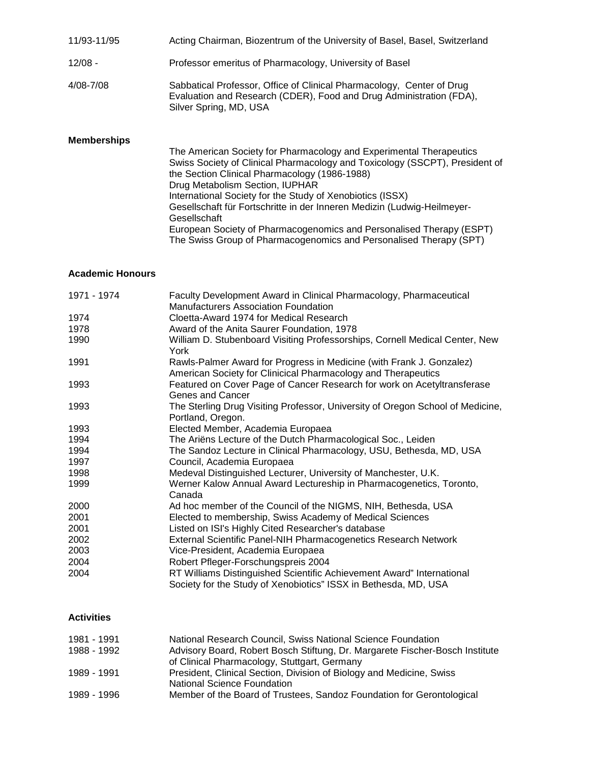| 11/93-11/95        | Acting Chairman, Biozentrum of the University of Basel, Basel, Switzerland                                                                                                                          |
|--------------------|-----------------------------------------------------------------------------------------------------------------------------------------------------------------------------------------------------|
| $12/08 -$          | Professor emeritus of Pharmacology, University of Basel                                                                                                                                             |
| 4/08-7/08          | Sabbatical Professor, Office of Clinical Pharmacology, Center of Drug<br>Evaluation and Research (CDER), Food and Drug Administration (FDA),<br>Silver Spring, MD, USA                              |
| <b>Memberships</b> | The American Society for Pharmacology and Experimental Therapeutics<br>Swiss Society of Clinical Pharmacology and Toxicology (SSCPT), President of<br>the Section Clinical Pharmacology (1986-1988) |

Drug Metabolism Section, IUPHAR International Society for the Study of Xenobiotics (ISSX) Gesellschaft für Fortschritte in der Inneren Medizin (Ludwig-Heilmeyer-**Gesellschaft** 

European Society of Pharmacogenomics and Personalised Therapy (ESPT) The Swiss Group of Pharmacogenomics and Personalised Therapy (SPT)

## **Academic Honours**

| 1971 - 1974 | Faculty Development Award in Clinical Pharmacology, Pharmaceutical<br><b>Manufacturers Association Foundation</b> |
|-------------|-------------------------------------------------------------------------------------------------------------------|
| 1974        | Cloetta-Award 1974 for Medical Research                                                                           |
| 1978        | Award of the Anita Saurer Foundation, 1978                                                                        |
| 1990        | William D. Stubenboard Visiting Professorships, Cornell Medical Center, New                                       |
|             | York                                                                                                              |
| 1991        | Rawls-Palmer Award for Progress in Medicine (with Frank J. Gonzalez)                                              |
|             | American Society for Clinicical Pharmacology and Therapeutics                                                     |
| 1993        | Featured on Cover Page of Cancer Research for work on Acetyltransferase                                           |
|             | Genes and Cancer                                                                                                  |
| 1993        | The Sterling Drug Visiting Professor, University of Oregon School of Medicine,                                    |
|             | Portland, Oregon.                                                                                                 |
| 1993        | Elected Member, Academia Europaea                                                                                 |
| 1994        | The Ariëns Lecture of the Dutch Pharmacological Soc., Leiden                                                      |
| 1994        | The Sandoz Lecture in Clinical Pharmacology, USU, Bethesda, MD, USA                                               |
| 1997        | Council, Academia Europaea                                                                                        |
| 1998        | Medeval Distinguished Lecturer, University of Manchester, U.K.                                                    |
| 1999        | Werner Kalow Annual Award Lectureship in Pharmacogenetics, Toronto,                                               |
|             | Canada                                                                                                            |
| 2000        | Ad hoc member of the Council of the NIGMS, NIH, Bethesda, USA                                                     |
| 2001        | Elected to membership, Swiss Academy of Medical Sciences                                                          |
| 2001        | Listed on ISI's Highly Cited Researcher's database                                                                |
| 2002        | External Scientific Panel-NIH Pharmacogenetics Research Network                                                   |
| 2003        | Vice-President, Academia Europaea                                                                                 |
| 2004        | Robert Pfleger-Forschungspreis 2004                                                                               |
| 2004        | RT Williams Distinguished Scientific Achievement Award" International                                             |
|             | Society for the Study of Xenobiotics" ISSX in Bethesda, MD, USA                                                   |

## **Activities**

| 1981 - 1991 | National Research Council, Swiss National Science Foundation                 |
|-------------|------------------------------------------------------------------------------|
| 1988 - 1992 | Advisory Board, Robert Bosch Stiftung, Dr. Margarete Fischer-Bosch Institute |
|             | of Clinical Pharmacology, Stuttgart, Germany                                 |
| 1989 - 1991 | President, Clinical Section, Division of Biology and Medicine, Swiss         |
|             | National Science Foundation                                                  |
| 1989 - 1996 | Member of the Board of Trustees, Sandoz Foundation for Gerontological        |